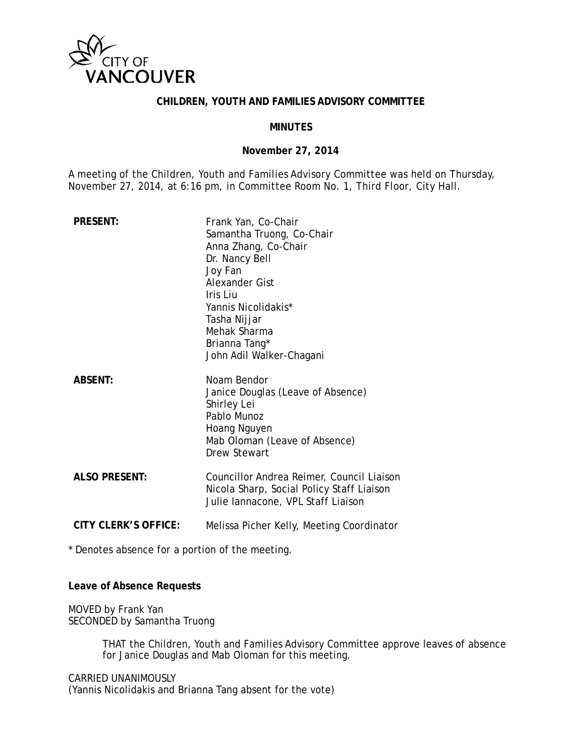

### **CHILDREN, YOUTH AND FAMILIES ADVISORY COMMITTEE**

#### **MINUTES**

#### **November 27, 2014**

A meeting of the Children, Youth and Families Advisory Committee was held on Thursday, November 27, 2014, at 6:16 pm, in Committee Room No. 1, Third Floor, City Hall.

| <b>PRESENT:</b>             | Frank Yan, Co-Chair<br>Samantha Truong, Co-Chair<br>Anna Zhang, Co-Chair<br>Dr. Nancy Bell<br>Joy Fan<br><b>Alexander Gist</b><br>Iris Liu<br>Yannis Nicolidakis*<br>Tasha Nijjar<br>Mehak Sharma<br>Brianna Tang*<br>John Adil Walker-Chagani |
|-----------------------------|------------------------------------------------------------------------------------------------------------------------------------------------------------------------------------------------------------------------------------------------|
| <b>ABSENT:</b>              | Noam Bendor<br>Janice Douglas (Leave of Absence)<br>Shirley Lei<br>Pablo Munoz<br>Hoang Nguyen<br>Mab Oloman (Leave of Absence)<br>Drew Stewart                                                                                                |
| <b>ALSO PRESENT:</b>        | Councillor Andrea Reimer, Council Liaison<br>Nicola Sharp, Social Policy Staff Liaison<br>Julie lannacone, VPL Staff Liaison                                                                                                                   |
| <b>CITY CLERK'S OFFICE:</b> | Melissa Picher Kelly, Meeting Coordinator                                                                                                                                                                                                      |

\* Denotes absence for a portion of the meeting.

**Leave of Absence Requests**

MOVED by Frank Yan SECONDED by Samantha Truong

> THAT the Children, Youth and Families Advisory Committee approve leaves of absence for Janice Douglas and Mab Oloman for this meeting.

CARRIED UNANIMOUSLY (Yannis Nicolidakis and Brianna Tang absent for the vote)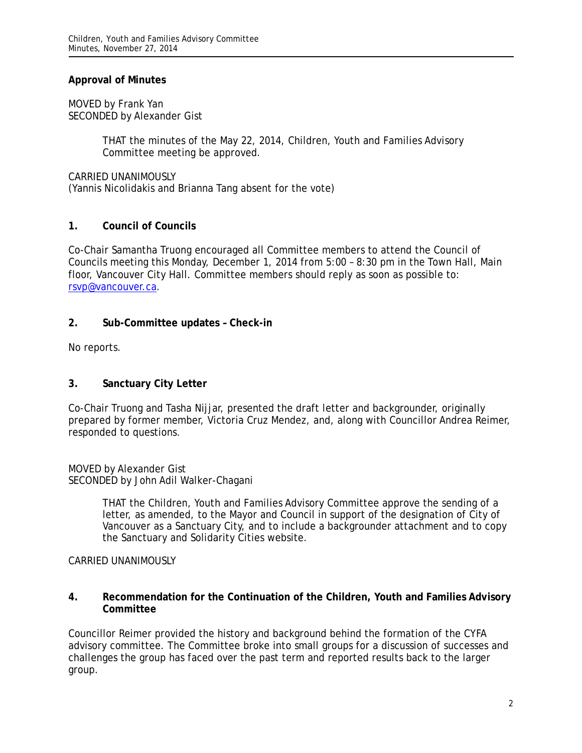## **Approval of Minutes**

MOVED by Frank Yan SECONDED by Alexander Gist

> THAT the minutes of the May 22, 2014, Children, Youth and Families Advisory Committee meeting be approved.

CARRIED UNANIMOUSLY (Yannis Nicolidakis and Brianna Tang absent for the vote)

## **1. Council of Councils**

Co-Chair Samantha Truong encouraged all Committee members to attend the Council of Councils meeting this Monday, December 1, 2014 from 5:00 – 8:30 pm in the Town Hall, Main floor, Vancouver City Hall. Committee members should reply as soon as possible to: [rsvp@vancouver.ca.](mailto:rsvp@vancouver.ca)

## **2. Sub-Committee updates – Check-in**

No reports.

## **3. Sanctuary City Letter**

Co-Chair Truong and Tasha Nijjar, presented the draft letter and backgrounder, originally prepared by former member, Victoria Cruz Mendez, and, along with Councillor Andrea Reimer, responded to questions.

MOVED by Alexander Gist SECONDED by John Adil Walker-Chagani

> THAT the Children, Youth and Families Advisory Committee approve the sending of a letter, as amended, to the Mayor and Council in support of the designation of City of Vancouver as a Sanctuary City, and to include a backgrounder attachment and to copy the Sanctuary and Solidarity Cities website.

### CARRIED UNANIMOUSLY

### **4. Recommendation for the Continuation of the Children, Youth and Families Advisory Committee**

Councillor Reimer provided the history and background behind the formation of the CYFA advisory committee. The Committee broke into small groups for a discussion of successes and challenges the group has faced over the past term and reported results back to the larger group.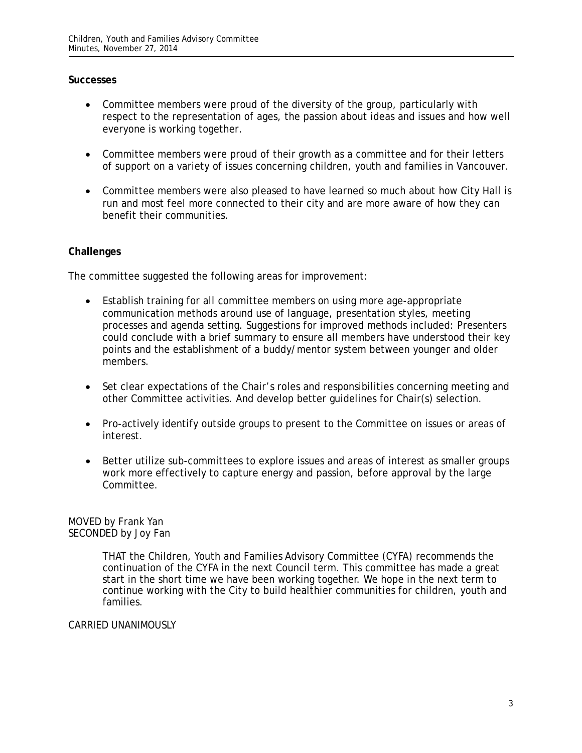## **Successes**

- Committee members were proud of the diversity of the group, particularly with respect to the representation of ages, the passion about ideas and issues and how well everyone is working together.
- Committee members were proud of their growth as a committee and for their letters of support on a variety of issues concerning children, youth and families in Vancouver.
- Committee members were also pleased to have learned so much about how City Hall is run and most feel more connected to their city and are more aware of how they can benefit their communities.

## **Challenges**

The committee suggested the following areas for improvement:

- Establish training for all committee members on using more age-appropriate communication methods around use of language, presentation styles, meeting processes and agenda setting. Suggestions for improved methods included: Presenters could conclude with a brief summary to ensure all members have understood their key points and the establishment of a buddy/mentor system between younger and older members.
- Set clear expectations of the Chair's roles and responsibilities concerning meeting and other Committee activities. And develop better guidelines for Chair(s) selection.
- Pro-actively identify outside groups to present to the Committee on issues or areas of interest.
- Better utilize sub-committees to explore issues and areas of interest as smaller groups work more effectively to capture energy and passion, before approval by the large Committee.

### MOVED by Frank Yan SECONDED by Joy Fan

THAT the Children, Youth and Families Advisory Committee (CYFA) recommends the continuation of the CYFA in the next Council term. This committee has made a great start in the short time we have been working together. We hope in the next term to continue working with the City to build healthier communities for children, youth and families.

### CARRIED UNANIMOUSLY